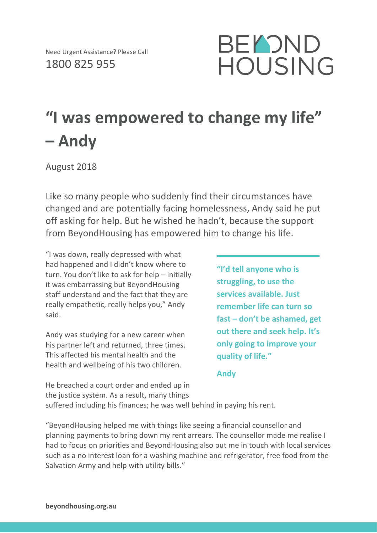

## **"I was empowered to change my life" – Andy**

August 2018

Like so many people who suddenly find their circumstances have changed and are potentially facing homelessness, Andy said he put off asking for help. But he wished he hadn't, because the support from BeyondHousing has empowered him to change his life.

"I was down, really depressed with what had happened and I didn't know where to turn. You don't like to ask for help – initially it was embarrassing but BeyondHousing staff understand and the fact that they are really empathetic, really helps you," Andy said.

Andy was studying for a new career when his partner left and returned, three times. This affected his mental health and the health and wellbeing of his two children.

**"I'd tell anyone who is struggling, to use the services available. Just remember life can turn so fast – don't be ashamed, get out there and seek help. It's only going to improve your quality of life."**

**Andy**

He breached a court order and ended up in the justice system. As a result, many things suffered including his finances; he was well behind in paying his rent.

"BeyondHousing helped me with things like seeing a financial counsellor and planning payments to bring down my rent arrears. The counsellor made me realise I had to focus on priorities and BeyondHousing also put me in touch with local services such as a no interest loan for a washing machine and refrigerator, free food from the Salvation Army and help with utility bills."